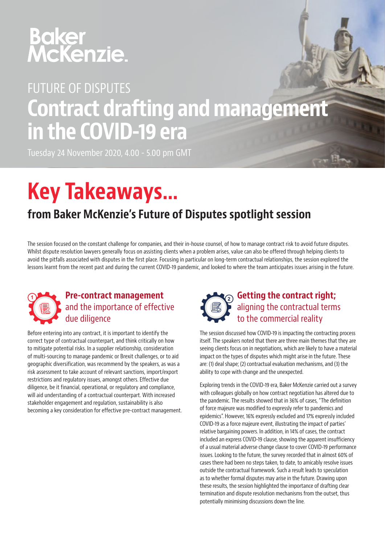# **Baker<br>McKenzie.**

## FUTURE OF DISPUTES Contract drafting and management in the COVID-19 era

Tuesday 24 November 2020, 4.00 - 5.00 pm GMT

# Key Takeaways…

### from Baker McKenzie's Future of Disputes spotlight session

The session focused on the constant challenge for companies, and their in-house counsel, of how to manage contract risk to avoid future disputes. Whilst dispute resolution lawyers generally focus on assisting clients when a problem arises, value can also be offered through helping clients to avoid the pitfalls associated with disputes in the first place. Focusing in particular on long-term contractual relationships, the session explored the lessons learnt from the recent past and during the current COVID-19 pandemic, and looked to where the team anticipates issues arising in the future.



Before entering into any contract, it is important to identify the correct type of contractual counterpart, and think critically on how to mitigate potential risks. In a supplier relationship, consideration of multi-sourcing to manage pandemic or Brexit challenges, or to aid geographic diversification, was recommend by the speakers, as was a risk assessment to take account of relevant sanctions, import/export restrictions and regulatory issues, amongst others. Effective due diligence, be it financial, operational, or regulatory and compliance, will aid understanding of a contractual counterpart. With increased stakeholder engagement and regulation, sustainability is also becoming a key consideration for effective pre-contract management.



The session discussed how COVID-19 is impacting the contracting process itself. The speakers noted that there are three main themes that they are seeing clients focus on in negotiations, which are likely to have a material impact on the types of disputes which might arise in the future. These are: (1) deal shape; (2) contractual evaluation mechanisms, and (3) the ability to cope with change and the unexpected.

Exploring trends in the COVID-19 era, Baker McKenzie carried out a survey with colleagues globally on how contract negotiation has altered due to the pandemic. The results showed that in 36% of cases, "The definition of force majeure was modified to expressly refer to pandemics and epidemics". However, 16% expressly excluded and 17% expressly included COVID-19 as a force majeure event, illustrating the impact of parties' relative bargaining powers. In addition, in 14% of cases, the contract included an express COVID-19 clause, showing the apparent insufficiency of a usual material adverse change clause to cover COVID-19 performance issues. Looking to the future, the survey recorded that in almost 60% of cases there had been no steps taken, to date, to amicably resolve issues outside the contractual framework. Such a result leads to speculation as to whether formal disputes may arise in the future. Drawing upon these results, the session highlighted the importance of drafting clear termination and dispute resolution mechanisms from the outset, thus potentially minimising discussions down the line.